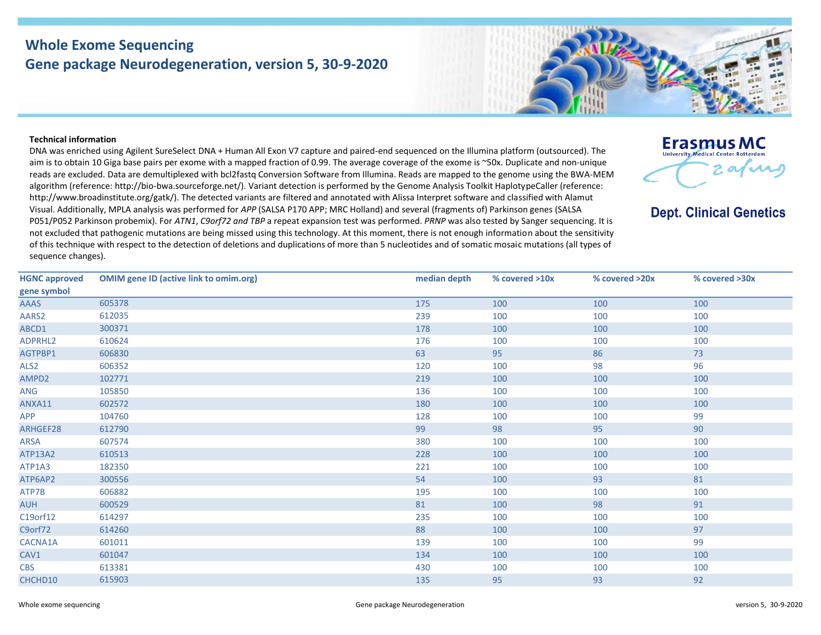## **Whole Exome Sequencing Gene package Neurodegeneration, version 5, 30-9-2020**



## **Technical information**

DNA was enriched using Agilent SureSelect DNA + Human All Exon V7 capture and paired-end sequenced on the Illumina platform (outsourced). The aim is to obtain 10 Giga base pairs per exome with a mapped fraction of 0.99. The average coverage of the exome is ~50x. Duplicate and non-unique reads are excluded. Data are demultiplexed with bcl2fastq Conversion Software from Illumina. Reads are mapped to the genome using the BWA-MEM algorithm (reference: http://bio‐bwa.sourceforge.net/). Variant detection is performed by the Genome Analysis Toolkit HaplotypeCaller (reference: http://www.broadinstitute.org/gatk/). The detected variants are filtered and annotated with Alissa Interpret software and classified with Alamut Visual. Additionally, MPLA analysis was performed for *APP* (SALSA P170 APP; MRC Holland) and several (fragments of) Parkinson genes (SALSA P051/P052 Parkinson probemix). For *ATN1*, *C9orf72 and TBP* a repeat expansion test was performed. *PRNP* was also tested by Sanger sequencing. It is not excluded that pathogenic mutations are being missed using this technology. At this moment, there is not enough information about the sensitivity of this technique with respect to the detection of deletions and duplications of more than 5 nucleotides and of somatic mosaic mutations (all types of sequence changes).



## **Dept. Clinical Genetics**

| <b>HGNC approved</b> | <b>OMIM gene ID (active link to omim.org)</b> | median depth | % covered >10x | % covered >20x | % covered >30x |
|----------------------|-----------------------------------------------|--------------|----------------|----------------|----------------|
| gene symbol          |                                               |              |                |                |                |
| <b>AAAS</b>          | 605378                                        | 175          | 100            | 100            | 100            |
| AARS2                | 612035                                        | 239          | 100            | 100            | 100            |
| ABCD1                | 300371                                        | 178          | 100            | 100            | 100            |
| ADPRHL2              | 610624                                        | 176          | 100            | 100            | 100            |
| AGTPBP1              | 606830                                        | 63           | 95             | 86             | 73             |
| ALS <sub>2</sub>     | 606352                                        | 120          | 100            | 98             | 96             |
| AMPD2                | 102771                                        | 219          | 100            | 100            | 100            |
| ANG                  | 105850                                        | 136          | 100            | 100            | 100            |
| ANXA11               | 602572                                        | 180          | 100            | 100            | 100            |
| APP                  | 104760                                        | 128          | 100            | 100            | 99             |
| ARHGEF28             | 612790                                        | 99           | 98             | 95             | 90             |
| ARSA                 | 607574                                        | 380          | 100            | 100            | 100            |
| ATP13A2              | 610513                                        | 228          | 100            | 100            | 100            |
| ATP1A3               | 182350                                        | 221          | 100            | 100            | 100            |
| ATP6AP2              | 300556                                        | 54           | 100            | 93             | 81             |
| ATP7B                | 606882                                        | 195          | 100            | 100            | 100            |
| <b>AUH</b>           | 600529                                        | 81           | 100            | 98             | 91             |
| C19orf12             | 614297                                        | 235          | 100            | 100            | 100            |
| C9orf72              | 614260                                        | 88           | 100            | 100            | 97             |
| CACNA1A              | 601011                                        | 139          | 100            | 100            | 99             |
| CAV1                 | 601047                                        | 134          | 100            | 100            | 100            |
| <b>CBS</b>           | 613381                                        | 430          | 100            | 100            | 100            |
| CHCHD10              | 615903                                        | 135          | 95             | 93             | 92             |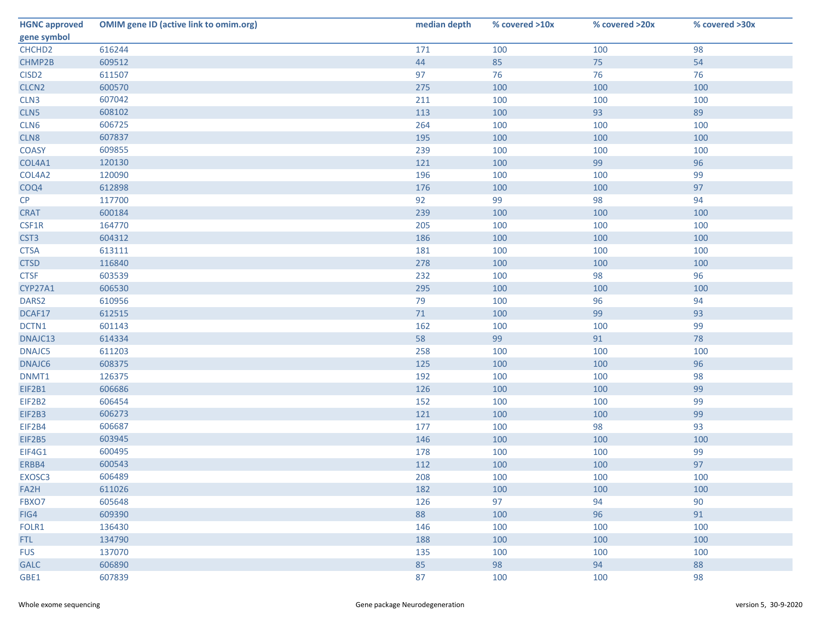| <b>HGNC approved</b> | <b>OMIM gene ID (active link to omim.org)</b> | median depth | % covered >10x | % covered >20x | % covered >30x |
|----------------------|-----------------------------------------------|--------------|----------------|----------------|----------------|
| gene symbol          |                                               |              |                |                |                |
| CHCHD <sub>2</sub>   | 616244                                        | 171          | 100            | 100            | 98             |
| CHMP2B               | 609512                                        | 44           | 85             | 75             | 54             |
| CISD <sub>2</sub>    | 611507                                        | 97           | 76             | 76             | 76             |
| CLCN <sub>2</sub>    | 600570                                        | 275          | 100            | 100            | 100            |
| CLN <sub>3</sub>     | 607042                                        | 211          | 100            | 100            | 100            |
| CLN5                 | 608102                                        | 113          | 100            | 93             | 89             |
| CLN6                 | 606725                                        | 264          | 100            | 100            | 100            |
| CLN8                 | 607837                                        | 195          | 100            | 100            | 100            |
| <b>COASY</b>         | 609855                                        | 239          | 100            | 100            | 100            |
| COL4A1               | 120130                                        | 121          | 100            | 99             | 96             |
| COL4A2               | 120090                                        | 196          | 100            | 100            | 99             |
| COQ4                 | 612898                                        | 176          | 100            | 100            | 97             |
| CP                   | 117700                                        | 92           | 99             | 98             | 94             |
| <b>CRAT</b>          | 600184                                        | 239          | 100            | 100            | 100            |
| CSF1R                | 164770                                        | 205          | 100            | 100            | 100            |
| CST <sub>3</sub>     | 604312                                        | 186          | 100            | 100            | 100            |
| <b>CTSA</b>          | 613111                                        | 181          | 100            | 100            | 100            |
| <b>CTSD</b>          | 116840                                        | 278          | 100            | 100            | 100            |
| <b>CTSF</b>          | 603539                                        | 232          | 100            | 98             | 96             |
| CYP27A1              | 606530                                        | 295          | 100            | 100            | 100            |
| DARS2                | 610956                                        | 79           | 100            | 96             | 94             |
| DCAF17               | 612515                                        | 71           | 100            | 99             | 93             |
| DCTN1                | 601143                                        | 162          | 100            | 100            | 99             |
| DNAJC13              | 614334                                        | 58           | 99             | 91             | 78             |
| DNAJC5               | 611203                                        | 258          | 100            | 100            | 100            |
| DNAJC6               | 608375                                        | 125          | 100            | 100            | 96             |
| DNMT1                | 126375                                        | 192          | 100            | 100            | 98             |
| EIF2B1               | 606686                                        | 126          | 100            | 100            | 99             |
| EIF2B2               | 606454                                        | 152          | 100            | 100            | 99             |
| EIF2B3               | 606273                                        | 121          | 100            | 100            | 99             |
| EIF2B4               | 606687                                        | 177          | 100            | 98             | 93             |
| <b>EIF2B5</b>        | 603945                                        | 146          | 100            | 100            | 100            |
| EIF4G1               | 600495                                        | 178          | 100            | 100            | 99             |
| ERBB4                | 600543                                        | 112          | 100            | 100            | 97             |
| EXOSC3               | 606489                                        | 208          | 100            | 100            | 100            |
| FA2H                 | 611026                                        | 182          | 100            | 100            | 100            |
| FBXO7                | 605648                                        | 126          | 97             | 94             | 90             |
| FIG4                 | 609390                                        | 88           | 100            | 96             | 91             |
| FOLR1                | 136430                                        | 146          | 100            | 100            | 100            |
| FTL.                 | 134790                                        | 188          | 100            | 100            | 100            |
| <b>FUS</b>           | 137070                                        | 135          | 100            | 100            | 100            |
| <b>GALC</b>          | 606890                                        | 85           | 98             | 94             | 88             |
| GBE1                 | 607839                                        | 87           | 100            | 100            | 98             |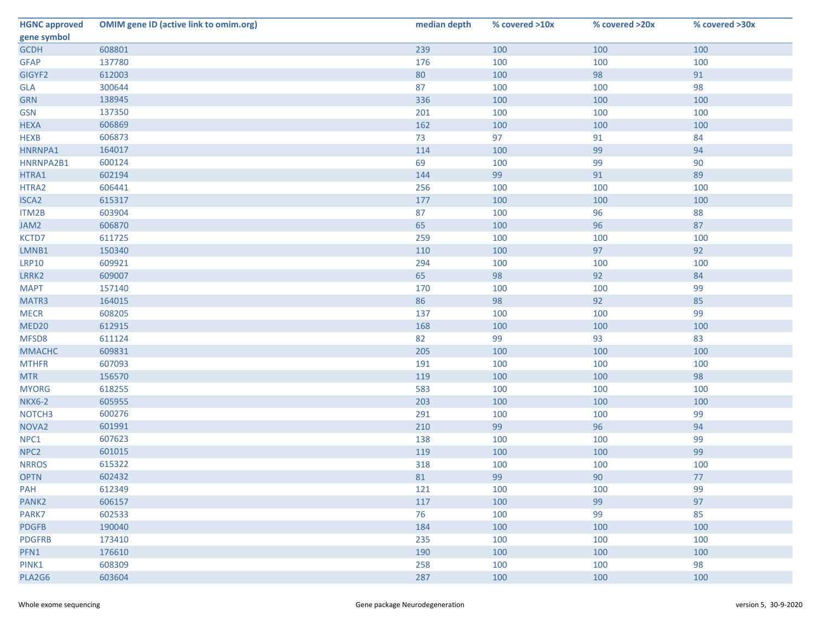| <b>HGNC approved</b> | <b>OMIM gene ID (active link to omim.org)</b> | median depth | % covered >10x | % covered >20x | % covered >30x |
|----------------------|-----------------------------------------------|--------------|----------------|----------------|----------------|
| gene symbol          |                                               |              |                |                |                |
| <b>GCDH</b>          | 608801                                        | 239          | 100            | 100            | 100            |
| <b>GFAP</b>          | 137780                                        | 176          | 100            | 100            | 100            |
| GIGYF2               | 612003                                        | 80           | 100            | 98             | 91             |
| <b>GLA</b>           | 300644                                        | 87           | 100            | 100            | 98             |
| <b>GRN</b>           | 138945                                        | 336          | 100            | 100            | 100            |
| <b>GSN</b>           | 137350                                        | 201          | 100            | 100            | 100            |
| <b>HEXA</b>          | 606869                                        | 162          | 100            | 100            | 100            |
| <b>HEXB</b>          | 606873                                        | 73           | 97             | 91             | 84             |
| HNRNPA1              | 164017                                        | 114          | 100            | 99             | 94             |
| HNRNPA2B1            | 600124                                        | 69           | 100            | 99             | 90             |
| HTRA1                | 602194                                        | 144          | 99             | 91             | 89             |
| HTRA2                | 606441                                        | 256          | 100            | 100            | 100            |
| <b>ISCA2</b>         | 615317                                        | 177          | 100            | 100            | 100            |
| ITM2B                | 603904                                        | 87           | 100            | 96             | 88             |
| JAM2                 | 606870                                        | 65           | 100            | 96             | 87             |
| KCTD7                | 611725                                        | 259          | 100            | 100            | 100            |
| LMNB1                | 150340                                        | 110          | 100            | 97             | 92             |
| <b>LRP10</b>         | 609921                                        | 294          | 100            | 100            | 100            |
| LRRK2                | 609007                                        | 65           | 98             | 92             | 84             |
| <b>MAPT</b>          | 157140                                        | 170          | 100            | 100            | 99             |
| MATR3                | 164015                                        | 86           | 98             | 92             | 85             |
| <b>MECR</b>          | 608205                                        | 137          | 100            | 100            | 99             |
| MED <sub>20</sub>    | 612915                                        | 168          | 100            | 100            | 100            |
| MFSD8                | 611124                                        | 82           | 99             | 93             | 83             |
| <b>MMACHC</b>        | 609831                                        | 205          | 100            | 100            | 100            |
| <b>MTHFR</b>         | 607093                                        | 191          | 100            | 100            | 100            |
| <b>MTR</b>           | 156570                                        | 119          | 100            | 100            | 98             |
| <b>MYORG</b>         | 618255                                        | 583          | 100            | 100            | 100            |
| <b>NKX6-2</b>        | 605955                                        | 203          | 100            | 100            | 100            |
| NOTCH <sub>3</sub>   | 600276                                        | 291          | 100            | 100            | 99             |
| NOVA <sub>2</sub>    | 601991                                        | 210          | 99             | 96             | 94             |
| NPC1                 | 607623                                        | 138          | 100            | 100            | 99             |
| NPC <sub>2</sub>     | 601015                                        | 119          | 100            | 100            | 99             |
| <b>NRROS</b>         | 615322                                        | 318          | 100            | 100            | 100            |
| <b>OPTN</b>          | 602432                                        | 81           | 99             | 90             | 77             |
| <b>PAH</b>           | 612349                                        | 121          | 100            | 100            | 99             |
| PANK <sub>2</sub>    | 606157                                        | 117          | 100            | 99             | 97             |
| PARK7                | 602533                                        | 76           | 100            | 99             | 85             |
| <b>PDGFB</b>         | 190040                                        | 184          | 100            | 100            | 100            |
| <b>PDGFRB</b>        | 173410                                        | 235          | 100            | 100            | 100            |
| PFN1                 | 176610                                        | 190          | 100            | 100            | 100            |
| PINK1                | 608309                                        | 258          | 100            | 100            | 98             |
| PLA2G6               | 603604                                        | 287          | 100            | 100            | 100            |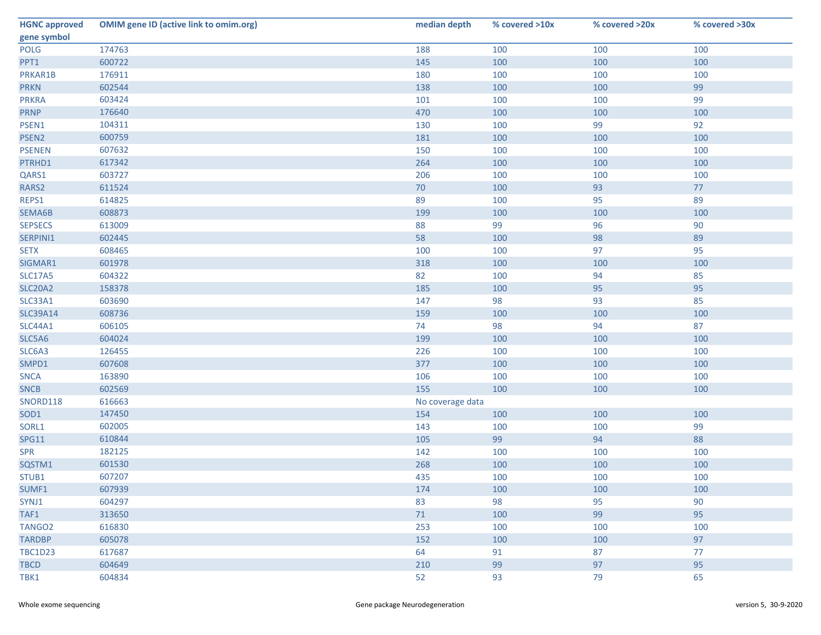| <b>HGNC approved</b> | <b>OMIM gene ID (active link to omim.org)</b> | median depth     | % covered >10x | % covered >20x | % covered >30x |  |  |
|----------------------|-----------------------------------------------|------------------|----------------|----------------|----------------|--|--|
| gene symbol          |                                               |                  |                |                |                |  |  |
| <b>POLG</b>          | 174763                                        | 188              | 100            | 100            | 100            |  |  |
| PPT1                 | 600722                                        | 145              | 100            | 100            | 100            |  |  |
| PRKAR1B              | 176911                                        | 180              | 100            | 100            | 100            |  |  |
| <b>PRKN</b>          | 602544                                        | 138              | 100            | 100            | 99             |  |  |
| <b>PRKRA</b>         | 603424                                        | 101              | 100            | 100            | 99             |  |  |
| <b>PRNP</b>          | 176640                                        | 470              | 100            | 100            | 100            |  |  |
| PSEN1                | 104311                                        | 130              | 100            | 99             | 92             |  |  |
| PSEN <sub>2</sub>    | 600759                                        | 181              | 100            | 100            | 100            |  |  |
| <b>PSENEN</b>        | 607632                                        | 150              | 100            | 100            | 100            |  |  |
| PTRHD1               | 617342                                        | 264              | 100            | 100            | 100            |  |  |
| QARS1                | 603727                                        | 206              | 100            | 100            | 100            |  |  |
| RARS2                | 611524                                        | 70               | 100            | 93             | 77             |  |  |
| REPS1                | 614825                                        | 89               | 100            | 95             | 89             |  |  |
| SEMA6B               | 608873                                        | 199              | 100            | 100            | 100            |  |  |
| <b>SEPSECS</b>       | 613009                                        | 88               | 99             | 96             | 90             |  |  |
| SERPINI1             | 602445                                        | 58               | 100            | 98             | 89             |  |  |
| <b>SETX</b>          | 608465                                        | 100              | 100            | 97             | 95             |  |  |
| SIGMAR1              | 601978                                        | 318              | 100            | 100            | 100            |  |  |
| <b>SLC17A5</b>       | 604322                                        | 82               | 100            | 94             | 85             |  |  |
| <b>SLC20A2</b>       | 158378                                        | 185              | 100            | 95             | 95             |  |  |
| SLC33A1              | 603690                                        | 147              | 98             | 93             | 85             |  |  |
| <b>SLC39A14</b>      | 608736                                        | 159              | 100            | 100            | 100            |  |  |
| <b>SLC44A1</b>       | 606105                                        | 74               | 98             | 94             | 87             |  |  |
| SLC5A6               | 604024                                        | 199              | 100            | 100            | 100            |  |  |
| SLC6A3               | 126455                                        | 226              | 100            | 100            | 100            |  |  |
| SMPD1                | 607608                                        | 377              | 100            | 100            | 100            |  |  |
| <b>SNCA</b>          | 163890                                        | 106              | 100            | 100            | 100            |  |  |
| <b>SNCB</b>          | 602569                                        | 155              | 100            | 100            | 100            |  |  |
| SNORD118             | 616663                                        | No coverage data |                |                |                |  |  |
| SOD1                 | 147450                                        | 154              | 100            | 100            | 100            |  |  |
| SORL1                | 602005                                        | 143              | 100            | 100            | 99             |  |  |
| <b>SPG11</b>         | 610844                                        | 105              | 99             | 94             | 88             |  |  |
| <b>SPR</b>           | 182125                                        | 142              | 100            | 100            | 100            |  |  |
| SQSTM1               | 601530                                        | 268              | 100            | 100            | 100            |  |  |
| STUB1                | 607207                                        | 435              | 100            | 100            | 100            |  |  |
| SUMF1                | 607939                                        | 174              | 100            | 100            | 100            |  |  |
| SYNJ1                | 604297                                        | 83               | 98             | 95             | 90             |  |  |
| TAF1                 | 313650                                        | 71               | 100            | 99             | 95             |  |  |
| TANGO <sub>2</sub>   | 616830                                        | 253              | 100            | 100            | 100            |  |  |
| <b>TARDBP</b>        | 605078                                        | 152              | 100            | 100            | 97             |  |  |
| <b>TBC1D23</b>       | 617687                                        | 64               | 91             | 87             | 77             |  |  |
| <b>TBCD</b>          | 604649                                        | 210              | 99             | 97             | 95             |  |  |
| TBK1                 | 604834                                        | 52               | 93             | 79             | 65             |  |  |